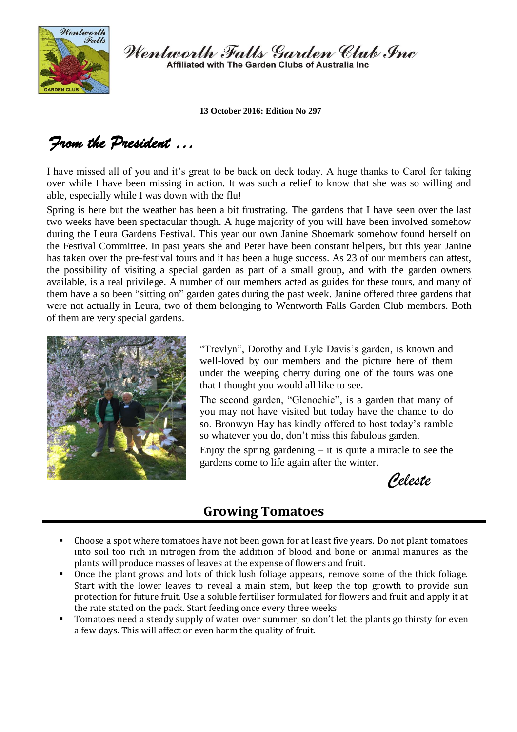

Wentworth Falls Garden Club Inc Affiliated with The Garden Clubs of Australia Inc.

**13 October 2016: Edition No 297**

# *From the President …*

I have missed all of you and it's great to be back on deck today. A huge thanks to Carol for taking over while I have been missing in action. It was such a relief to know that she was so willing and able, especially while I was down with the flu!

Spring is here but the weather has been a bit frustrating. The gardens that I have seen over the last two weeks have been spectacular though. A huge majority of you will have been involved somehow during the Leura Gardens Festival. This year our own Janine Shoemark somehow found herself on the Festival Committee. In past years she and Peter have been constant helpers, but this year Janine has taken over the pre-festival tours and it has been a huge success. As 23 of our members can attest, the possibility of visiting a special garden as part of a small group, and with the garden owners available, is a real privilege. A number of our members acted as guides for these tours, and many of them have also been "sitting on" garden gates during the past week. Janine offered three gardens that were not actually in Leura, two of them belonging to Wentworth Falls Garden Club members. Both of them are very special gardens.



"Trevlyn", Dorothy and Lyle Davis's garden, is known and well-loved by our members and the picture here of them under the weeping cherry during one of the tours was one that I thought you would all like to see.

The second garden, "Glenochie", is a garden that many of you may not have visited but today have the chance to do so. Bronwyn Hay has kindly offered to host today's ramble so whatever you do, don't miss this fabulous garden.

Enjoy the spring gardening  $-$  it is quite a miracle to see the gardens come to life again after the winter.

*Celeste*

# **Growing Tomatoes**

- Choose a spot where tomatoes have not been gown for at least five years. Do not plant tomatoes into soil too rich in nitrogen from the addition of blood and bone or animal manures as the plants will produce masses of leaves at the expense of flowers and fruit.
- Once the plant grows and lots of thick lush foliage appears, remove some of the thick foliage. Start with the lower leaves to reveal a main stem, but keep the top growth to provide sun protection for future fruit. Use a soluble fertiliser formulated for flowers and fruit and apply it at the rate stated on the pack. Start feeding once every three weeks.
- Tomatoes need a steady supply of water over summer, so don't let the plants go thirsty for even a few days. This will affect or even harm the quality of fruit.